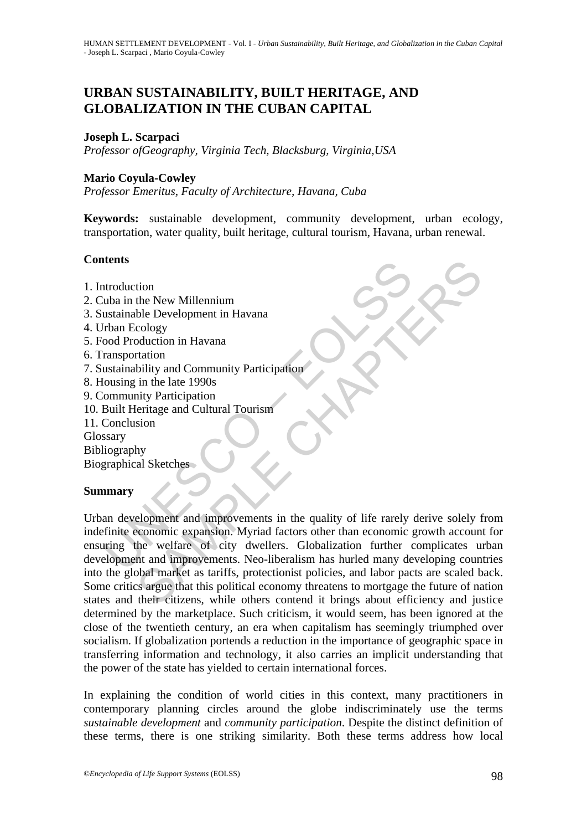# **URBAN SUSTAINABILITY, BUILT HERITAGE, AND GLOBALIZATION IN THE CUBAN CAPITAL**

# **Joseph L. Scarpaci**

*Professor ofGeography, Virginia Tech, Blacksburg, Virginia,USA* 

### **Mario Coyula-Cowley**

*Professor Emeritus, Faculty of Architecture, Havana, Cuba* 

**Keywords:** sustainable development, community development, urban ecology, transportation, water quality, built heritage, cultural tourism, Havana, urban renewal.

# **Contents**

- 1. Introduction
- 2. Cuba in the New Millennium
- 3. Sustainable Development in Havana
- 4. Urban Ecology
- 5. Food Production in Havana
- 6. Transportation
- 7. Sustainability and Community Participation
- 8. Housing in the late 1990s
- 9. Community Participation
- 10. Built Heritage and Cultural Tourism
- 11. Conclusion

Glossary

Bibliography

Biographical Sketches

### **Summary**

ntroduction<br>
throduction<br>
uba in the New Millennium<br>
ustainable Development in Havana<br>
ransportation<br>
ransportation<br>
ransportation<br>
ustainability and Community Participation<br>
conclusion<br>
Unit Heritage and Cultural Tourism<br> tion<br>the New Millennium<br>cology<br>cology<br>duction in Havana<br>cology<br>duction in Havana<br>in the late 1990s<br>in the late 1990s<br>in the late 1990s<br>sing Participation<br>in the late 1990s<br>sing Participation<br>sion<br>thy<br>al Sketches<br>exponent a Urban development and improvements in the quality of life rarely derive solely from indefinite economic expansion. Myriad factors other than economic growth account for ensuring the welfare of city dwellers. Globalization further complicates urban development and improvements. Neo-liberalism has hurled many developing countries into the global market as tariffs, protectionist policies, and labor pacts are scaled back. Some critics argue that this political economy threatens to mortgage the future of nation states and their citizens, while others contend it brings about efficiency and justice determined by the marketplace. Such criticism, it would seem, has been ignored at the close of the twentieth century, an era when capitalism has seemingly triumphed over socialism. If globalization portends a reduction in the importance of geographic space in transferring information and technology, it also carries an implicit understanding that the power of the state has yielded to certain international forces.

In explaining the condition of world cities in this context, many practitioners in contemporary planning circles around the globe indiscriminately use the terms *sustainable development* and *community participation*. Despite the distinct definition of these terms, there is one striking similarity. Both these terms address how local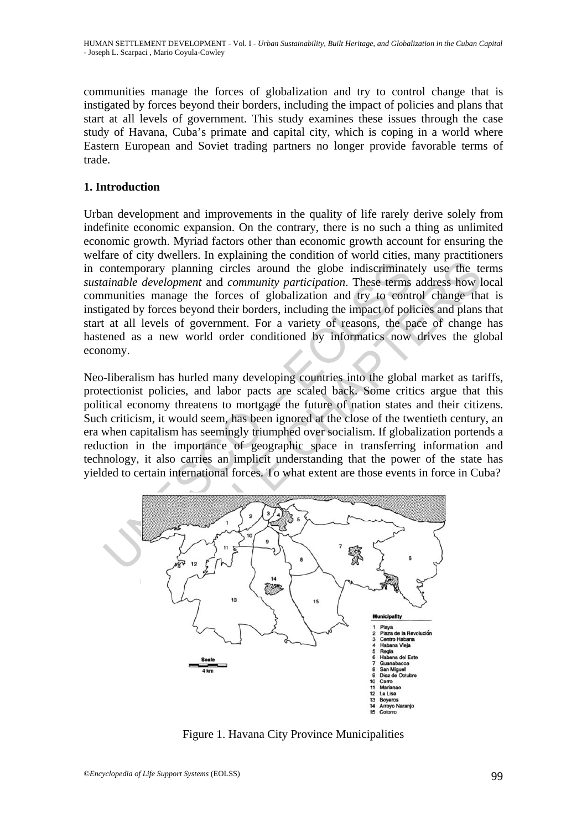communities manage the forces of globalization and try to control change that is instigated by forces beyond their borders, including the impact of policies and plans that start at all levels of government. This study examines these issues through the case study of Havana, Cuba's primate and capital city, which is coping in a world where Eastern European and Soviet trading partners no longer provide favorable terms of trade.

# **1. Introduction**

Urban development and improvements in the quality of life rarely derive solely from indefinite economic expansion. On the contrary, there is no such a thing as unlimited economic growth. Myriad factors other than economic growth account for ensuring the welfare of city dwellers. In explaining the condition of world cities, many practitioners in contemporary planning circles around the globe indiscriminately use the terms *sustainable development* and *community participation*. These terms address how local communities manage the forces of globalization and try to control change that is instigated by forces beyond their borders, including the impact of policies and plans that start at all levels of government. For a variety of reasons, the pace of change has hastened as a new world order conditioned by informatics now drives the global economy.

Contemporary planning circles around the globe indiscriminate ainable development and community participation. These terms imunities manage the forces of globalization and try to contragated by forces beyond their broders Neo-liberalism has hurled many developing countries into the global market as tariffs, protectionist policies, and labor pacts are scaled back. Some critics argue that this political economy threatens to mortgage the future of nation states and their citizens. Such criticism, it would seem, has been ignored at the close of the twentieth century, an era when capitalism has seemingly triumphed over socialism. If globalization portends a reduction in the importance of geographic space in transferring information and technology, it also carries an implicit understanding that the power of the state has yielded to certain international forces. To what extent are those events in force in Cuba?



Figure 1. Havana City Province Municipalities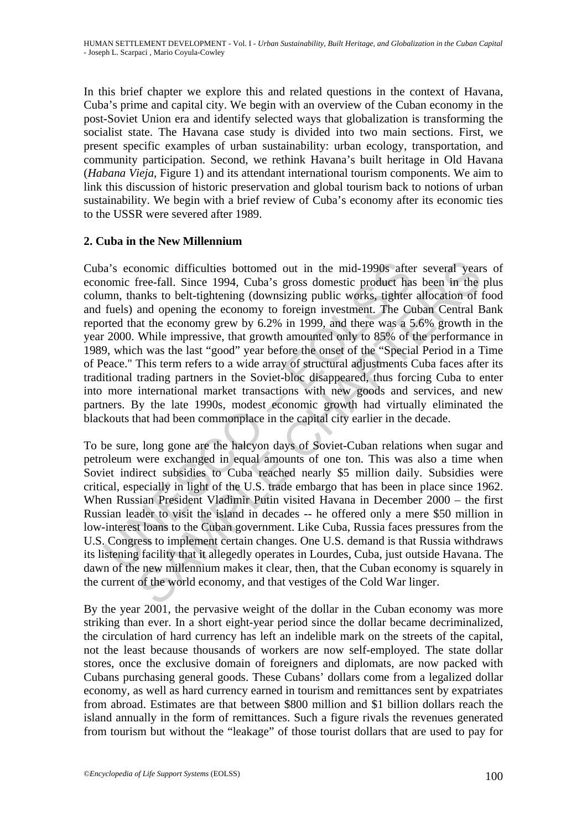In this brief chapter we explore this and related questions in the context of Havana, Cuba's prime and capital city. We begin with an overview of the Cuban economy in the post-Soviet Union era and identify selected ways that globalization is transforming the socialist state. The Havana case study is divided into two main sections. First, we present specific examples of urban sustainability: urban ecology, transportation, and community participation. Second, we rethink Havana's built heritage in Old Havana (*Habana Vieja*, Figure 1) and its attendant international tourism components. We aim to link this discussion of historic preservation and global tourism back to notions of urban sustainability. We begin with a brief review of Cuba's economy after its economic ties to the USSR were severed after 1989.

# **2. Cuba in the New Millennium**

a's economic difficulties bottomed out in the mid-1990s afte<br>nomic free-fall. Since 1994, Cuba's gross domestic product ha:<br>mm, thanks to belt-tightening (downsizing public works, tighter<br>fuels) and opening the economy to promic difficulties bottomed out in the mid-1990s after several year<br>free-fall. Since 1994, Cuba's gross domestic product has been in the<br>anks to bel-tightnening (downsizing public works, tighter allocation of<br>and opening Cuba's economic difficulties bottomed out in the mid-1990s after several years of economic free-fall. Since 1994, Cuba's gross domestic product has been in the plus column, thanks to belt-tightening (downsizing public works, tighter allocation of food and fuels) and opening the economy to foreign investment. The Cuban Central Bank reported that the economy grew by 6.2% in 1999, and there was a 5.6% growth in the year 2000. While impressive, that growth amounted only to 85% of the performance in 1989, which was the last "good" year before the onset of the "Special Period in a Time of Peace." This term refers to a wide array of structural adjustments Cuba faces after its traditional trading partners in the Soviet-bloc disappeared, thus forcing Cuba to enter into more international market transactions with new goods and services, and new partners. By the late 1990s, modest economic growth had virtually eliminated the blackouts that had been commonplace in the capital city earlier in the decade.

To be sure, long gone are the halcyon days of Soviet-Cuban relations when sugar and petroleum were exchanged in equal amounts of one ton. This was also a time when Soviet indirect subsidies to Cuba reached nearly \$5 million daily. Subsidies were critical, especially in light of the U.S. trade embargo that has been in place since 1962. When Russian President Vladimir Putin visited Havana in December 2000 – the first Russian leader to visit the island in decades -- he offered only a mere \$50 million in low-interest loans to the Cuban government. Like Cuba, Russia faces pressures from the U.S. Congress to implement certain changes. One U.S. demand is that Russia withdraws its listening facility that it allegedly operates in Lourdes, Cuba, just outside Havana. The dawn of the new millennium makes it clear, then, that the Cuban economy is squarely in the current of the world economy, and that vestiges of the Cold War linger.

By the year 2001, the pervasive weight of the dollar in the Cuban economy was more striking than ever. In a short eight-year period since the dollar became decriminalized, the circulation of hard currency has left an indelible mark on the streets of the capital, not the least because thousands of workers are now self-employed. The state dollar stores, once the exclusive domain of foreigners and diplomats, are now packed with Cubans purchasing general goods. These Cubans' dollars come from a legalized dollar economy, as well as hard currency earned in tourism and remittances sent by expatriates from abroad. Estimates are that between \$800 million and \$1 billion dollars reach the island annually in the form of remittances. Such a figure rivals the revenues generated from tourism but without the "leakage" of those tourist dollars that are used to pay for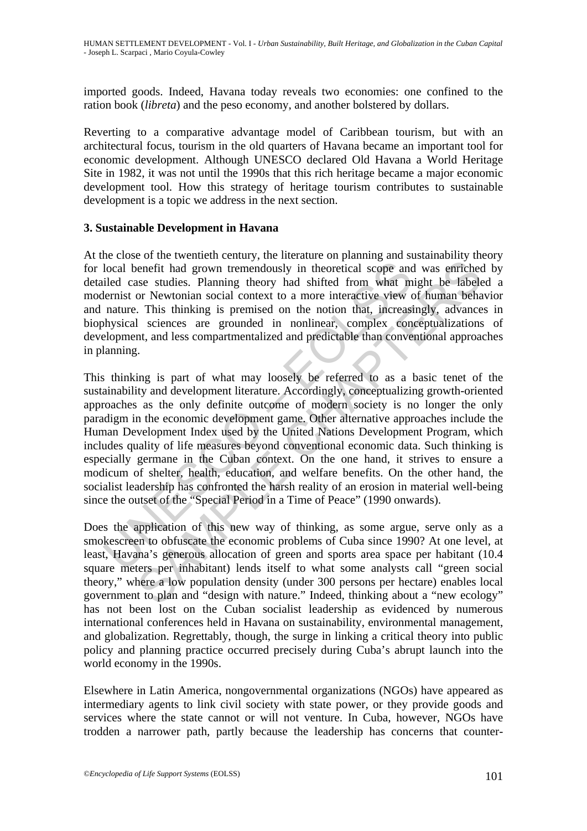imported goods. Indeed, Havana today reveals two economies: one confined to the ration book (*libreta*) and the peso economy, and another bolstered by dollars.

Reverting to a comparative advantage model of Caribbean tourism, but with an architectural focus, tourism in the old quarters of Havana became an important tool for economic development. Although UNESCO declared Old Havana a World Heritage Site in 1982, it was not until the 1990s that this rich heritage became a major economic development tool. How this strategy of heritage tourism contributes to sustainable development is a topic we address in the next section.

# **3. Sustainable Development in Havana**

At the close of the twentieth century, the literature on planning and sustainability theory for local benefit had grown tremendously in theoretical scope and was enriched by detailed case studies. Planning theory had shifted from what might be labeled a modernist or Newtonian social context to a more interactive view of human behavior and nature. This thinking is premised on the notion that, increasingly, advances in biophysical sciences are grounded in nonlinear, complex conceptualizations of development, and less compartmentalized and predictable than conventional approaches in planning.

local benefit had grown tremendously in theoretical scope and<br>iled case studies. Planning theory had shifted from what m<br>lernist or Newtonian social context to a more interactive view o<br>nature. This thinking is premised on or an interded to determine the comparison of the schemes of the phase of the phase and the phase studies. Planning theory had shifted from what might be labele ase studies. Planning theory had shifted from what might be l This thinking is part of what may loosely be referred to as a basic tenet of the sustainability and development literature. Accordingly, conceptualizing growth-oriented approaches as the only definite outcome of modern society is no longer the only paradigm in the economic development game. Other alternative approaches include the Human Development Index used by the United Nations Development Program, which includes quality of life measures beyond conventional economic data. Such thinking is especially germane in the Cuban context. On the one hand, it strives to ensure a modicum of shelter, health, education, and welfare benefits. On the other hand, the socialist leadership has confronted the harsh reality of an erosion in material well-being since the outset of the "Special Period in a Time of Peace" (1990 onwards).

Does the application of this new way of thinking, as some argue, serve only as a smokescreen to obfuscate the economic problems of Cuba since 1990? At one level, at least, Havana's generous allocation of green and sports area space per habitant (10.4 square meters per inhabitant) lends itself to what some analysts call "green social theory," where a low population density (under 300 persons per hectare) enables local government to plan and "design with nature." Indeed, thinking about a "new ecology" has not been lost on the Cuban socialist leadership as evidenced by numerous international conferences held in Havana on sustainability, environmental management, and globalization. Regrettably, though, the surge in linking a critical theory into public policy and planning practice occurred precisely during Cuba's abrupt launch into the world economy in the 1990s.

Elsewhere in Latin America, nongovernmental organizations (NGOs) have appeared as intermediary agents to link civil society with state power, or they provide goods and services where the state cannot or will not venture. In Cuba, however, NGOs have trodden a narrower path, partly because the leadership has concerns that counter-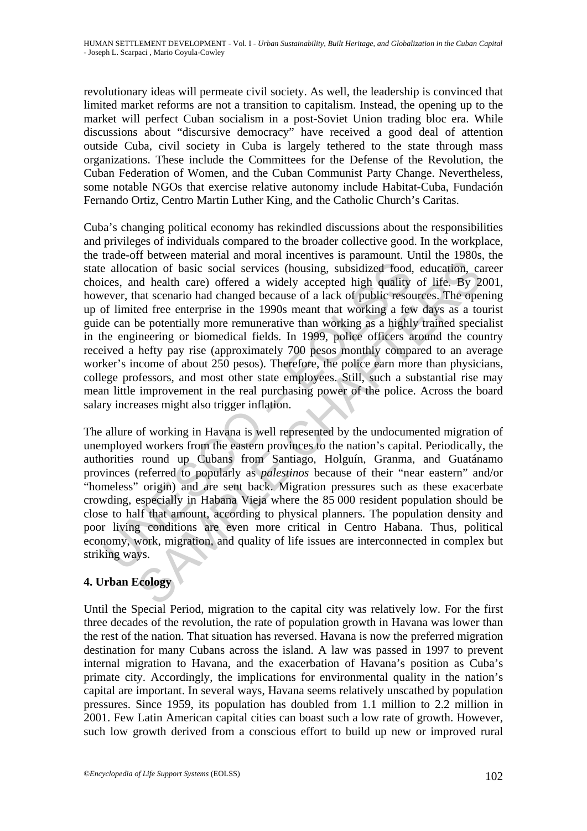revolutionary ideas will permeate civil society. As well, the leadership is convinced that limited market reforms are not a transition to capitalism. Instead, the opening up to the market will perfect Cuban socialism in a post-Soviet Union trading bloc era. While discussions about "discursive democracy" have received a good deal of attention outside Cuba, civil society in Cuba is largely tethered to the state through mass organizations. These include the Committees for the Defense of the Revolution, the Cuban Federation of Women, and the Cuban Communist Party Change. Nevertheless, some notable NGOs that exercise relative autonomy include Habitat-Cuba, Fundación Fernando Ortiz, Centro Martin Luther King, and the Catholic Church's Caritas.

e allocation of basic social services (housing, subsidized food,<br>ces, and health care) offered a widely accepted high quality<br>vever, that scenario had changed because of a lack of public reso<br>of limited free enterprise in infrontraination of basic social services (housing, subsidized food, education, can<br>ation of basic social services (housing, subsidized food, education, can<br>d health care) offered a widely accepted high quality of life. By Cuba's changing political economy has rekindled discussions about the responsibilities and privileges of individuals compared to the broader collective good. In the workplace, the trade-off between material and moral incentives is paramount. Until the 1980s, the state allocation of basic social services (housing, subsidized food, education, career choices, and health care) offered a widely accepted high quality of life. By 2001, however, that scenario had changed because of a lack of public resources. The opening up of limited free enterprise in the 1990s meant that working a few days as a tourist guide can be potentially more remunerative than working as a highly trained specialist in the engineering or biomedical fields. In 1999, police officers around the country received a hefty pay rise (approximately 700 pesos monthly compared to an average worker's income of about 250 pesos). Therefore, the police earn more than physicians, college professors, and most other state employees. Still, such a substantial rise may mean little improvement in the real purchasing power of the police. Across the board salary increases might also trigger inflation.

The allure of working in Havana is well represented by the undocumented migration of unemployed workers from the eastern provinces to the nation's capital. Periodically, the authorities round up Cubans from Santiago, Holguín, Granma, and Guatánamo provinces (referred to popularly as *palestinos* because of their "near eastern" and/or "homeless" origin) and are sent back. Migration pressures such as these exacerbate crowding, especially in Habana Vieja where the 85 000 resident population should be close to half that amount, according to physical planners. The population density and poor living conditions are even more critical in Centro Habana. Thus, political economy, work, migration, and quality of life issues are interconnected in complex but striking ways.

# **4. Urban Ecology**

Until the Special Period, migration to the capital city was relatively low. For the first three decades of the revolution, the rate of population growth in Havana was lower than the rest of the nation. That situation has reversed. Havana is now the preferred migration destination for many Cubans across the island. A law was passed in 1997 to prevent internal migration to Havana, and the exacerbation of Havana's position as Cuba's primate city. Accordingly, the implications for environmental quality in the nation's capital are important. In several ways, Havana seems relatively unscathed by population pressures. Since 1959, its population has doubled from 1.1 million to 2.2 million in 2001. Few Latin American capital cities can boast such a low rate of growth. However, such low growth derived from a conscious effort to build up new or improved rural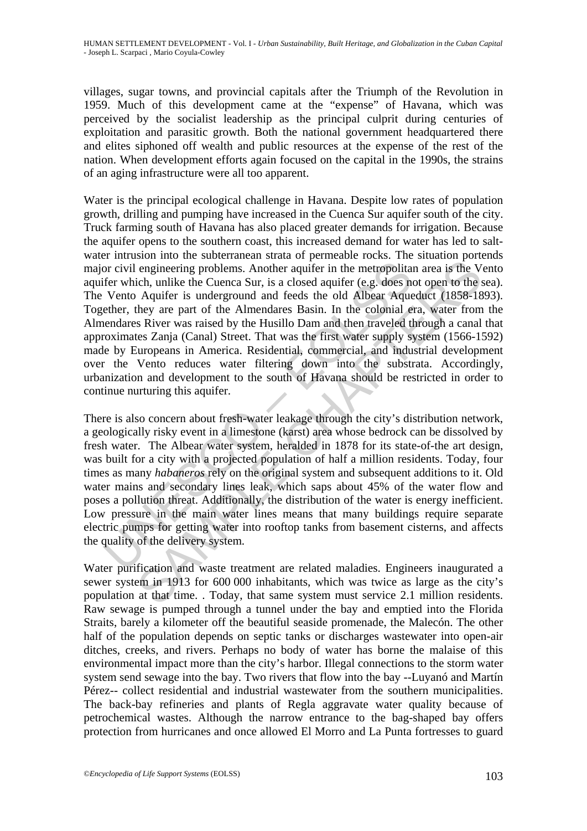villages, sugar towns, and provincial capitals after the Triumph of the Revolution in 1959. Much of this development came at the "expense" of Havana, which was perceived by the socialist leadership as the principal culprit during centuries of exploitation and parasitic growth. Both the national government headquartered there and elites siphoned off wealth and public resources at the expense of the rest of the nation. When development efforts again focused on the capital in the 1990s, the strains of an aging infrastructure were all too apparent.

or civil engineering problems. Another aquifer in the metropolitation<br>fer which, unlike the Cuenca Sur, is a closed aquifer (e.g. does no<br>Vento Aquifer is underground and feeds the old Albear Aque<br>ether, they are part of t engineering problems. Another approach encomplishm area is the V<br>engineering problems. Another aquifer in the metropolitan area is the V<br>cich, unlike the Cuenca Sur, is a closed aquifer (e.g. does not open to the entangen Water is the principal ecological challenge in Havana. Despite low rates of population growth, drilling and pumping have increased in the Cuenca Sur aquifer south of the city. Truck farming south of Havana has also placed greater demands for irrigation. Because the aquifer opens to the southern coast, this increased demand for water has led to saltwater intrusion into the subterranean strata of permeable rocks. The situation portends major civil engineering problems. Another aquifer in the metropolitan area is the Vento aquifer which, unlike the Cuenca Sur, is a closed aquifer (e.g. does not open to the sea). The Vento Aquifer is underground and feeds the old Albear Aqueduct (1858-1893). Together, they are part of the Almendares Basin. In the colonial era, water from the Almendares River was raised by the Husillo Dam and then traveled through a canal that approximates Zanja (Canal) Street. That was the first water supply system (1566-1592) made by Europeans in America. Residential, commercial, and industrial development over the Vento reduces water filtering down into the substrata. Accordingly, urbanization and development to the south of Havana should be restricted in order to continue nurturing this aquifer.

There is also concern about fresh-water leakage through the city's distribution network, a geologically risky event in a limestone (karst) area whose bedrock can be dissolved by fresh water. The Albear water system, heralded in 1878 for its state-of-the art design, was built for a city with a projected population of half a million residents. Today, four times as many *habaneros* rely on the original system and subsequent additions to it. Old water mains and secondary lines leak, which saps about 45% of the water flow and poses a pollution threat. Additionally, the distribution of the water is energy inefficient. Low pressure in the main water lines means that many buildings require separate electric pumps for getting water into rooftop tanks from basement cisterns, and affects the quality of the delivery system.

Water purification and waste treatment are related maladies. Engineers inaugurated a sewer system in 1913 for 600 000 inhabitants, which was twice as large as the city's population at that time. . Today, that same system must service 2.1 million residents. Raw sewage is pumped through a tunnel under the bay and emptied into the Florida Straits, barely a kilometer off the beautiful seaside promenade, the Malecón. The other half of the population depends on septic tanks or discharges wastewater into open-air ditches, creeks, and rivers. Perhaps no body of water has borne the malaise of this environmental impact more than the city's harbor. Illegal connections to the storm water system send sewage into the bay. Two rivers that flow into the bay --Luyanó and Martín Pérez-- collect residential and industrial wastewater from the southern municipalities. The back-bay refineries and plants of Regla aggravate water quality because of petrochemical wastes. Although the narrow entrance to the bag-shaped bay offers protection from hurricanes and once allowed El Morro and La Punta fortresses to guard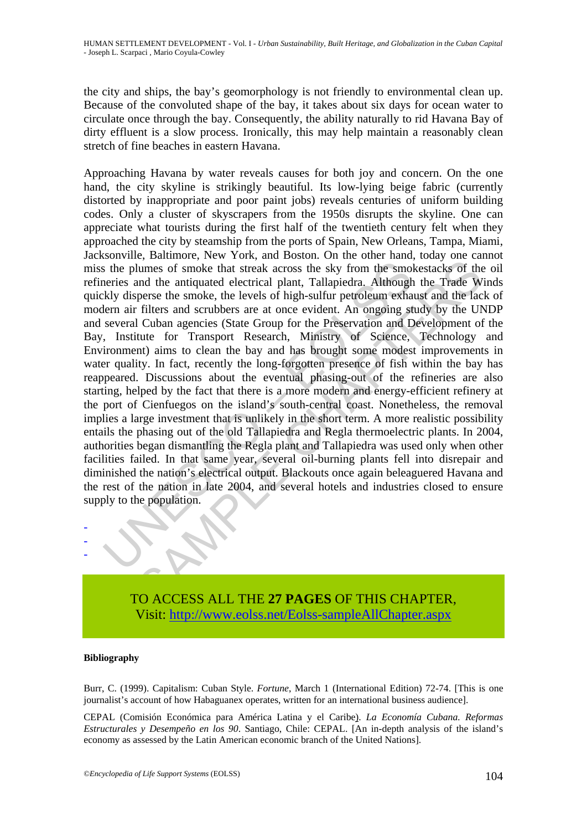the city and ships, the bay's geomorphology is not friendly to environmental clean up. Because of the convoluted shape of the bay, it takes about six days for ocean water to circulate once through the bay. Consequently, the ability naturally to rid Havana Bay of dirty effluent is a slow process. Ironically, this may help maintain a reasonably clean stretch of fine beaches in eastern Havana.

is the plumes of smoke that streak across the sky from the smolencies and the antiquated electrical plant, Tallapiedra. Although the streak in the smoke, the levels of high-sulfur petroleum exhalem air filters and scrubber In the antiquated electrical plant, Tallapiedra. Although the Trade Wellmes of smoke that streak across the sky from the smokestacks of the monder, the levels of hin-sulf pregness the monder, the levels of film-sulf prefo Approaching Havana by water reveals causes for both joy and concern. On the one hand, the city skyline is strikingly beautiful. Its low-lying beige fabric (currently distorted by inappropriate and poor paint jobs) reveals centuries of uniform building codes. Only a cluster of skyscrapers from the 1950s disrupts the skyline. One can appreciate what tourists during the first half of the twentieth century felt when they approached the city by steamship from the ports of Spain, New Orleans, Tampa, Miami, Jacksonville, Baltimore, New York, and Boston. On the other hand, today one cannot miss the plumes of smoke that streak across the sky from the smokestacks of the oil refineries and the antiquated electrical plant, Tallapiedra. Although the Trade Winds quickly disperse the smoke, the levels of high-sulfur petroleum exhaust and the lack of modern air filters and scrubbers are at once evident. An ongoing study by the UNDP and several Cuban agencies (State Group for the Preservation and Development of the Bay, Institute for Transport Research, Ministry of Science, Technology and Environment) aims to clean the bay and has brought some modest improvements in water quality. In fact, recently the long-forgotten presence of fish within the bay has reappeared. Discussions about the eventual phasing-out of the refineries are also starting, helped by the fact that there is a more modern and energy-efficient refinery at the port of Cienfuegos on the island's south-central coast. Nonetheless, the removal implies a large investment that is unlikely in the short term. A more realistic possibility entails the phasing out of the old Tallapiedra and Regla thermoelectric plants. In 2004, authorities began dismantling the Regla plant and Tallapiedra was used only when other facilities failed. In that same year, several oil-burning plants fell into disrepair and diminished the nation's electrical output. Blackouts once again beleaguered Havana and the rest of the nation in late 2004, and several hotels and industries closed to ensure supply to the population.



TO ACCESS ALL THE **27 PAGES** OF THIS CHAPTER, Visit: [http://www.eolss.net/Eolss-sampleAllChapter.aspx](https://www.eolss.net/ebooklib/sc_cart.aspx?File=E1-18-01-01)

#### **Bibliography**

Burr, C. (1999). Capitalism: Cuban Style. *Fortune*, March 1 (International Edition) 72-74. [This is one journalist's account of how Habaguanex operates, written for an international business audience].

CEPAL (Comisión Económica para América Latina y el Caribe). La Economía Cubana. Reformas *Estructurales y Desempeño en los 90*. Santiago, Chile: CEPAL. [An in-depth analysis of the island's economy as assessed by the Latin American economic branch of the United Nations].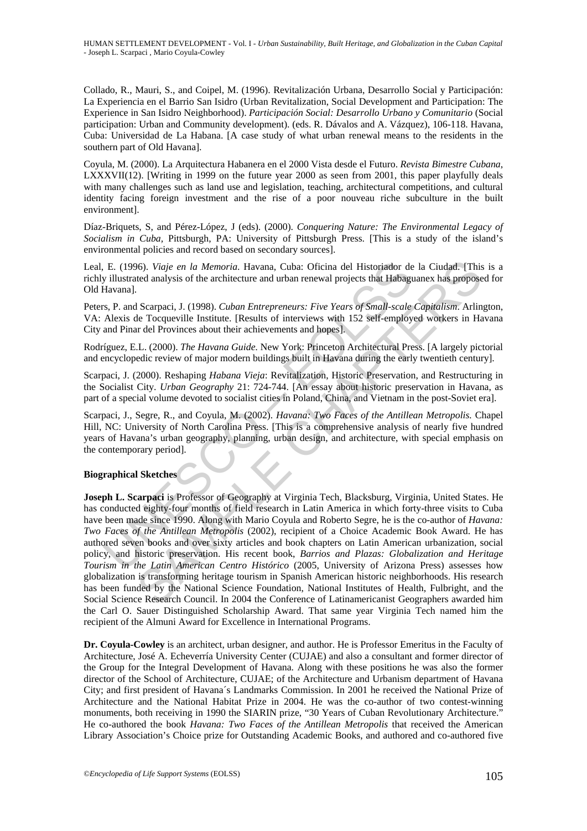Collado, R., Mauri, S., and Coipel, M. (1996). Revitalización Urbana, Desarrollo Social y Participación: La Experiencia en el Barrio San Isidro (Urban Revitalization, Social Development and Participation: The Experience in San Isidro Neighborhood). *Participación Social: Desarrollo Urbano y Comunitario* (Social participation: Urban and Community development). (eds. R. Dávalos and A. Vázquez), 106-118. Havana, Cuba: Universidad de La Habana. [A case study of what urban renewal means to the residents in the southern part of Old Havana].

Coyula, M. (2000). La Arquitectura Habanera en el 2000 Vista desde el Futuro. *Revista Bimestre Cubana*, LXXXVII(12). [Writing in 1999 on the future year 2000 as seen from 2001, this paper playfully deals with many challenges such as land use and legislation, teaching, architectural competitions, and cultural identity facing foreign investment and the rise of a poor nouveau riche subculture in the built environment].

Díaz-Briquets, S, and Pérez-López, J (eds). (2000). *Conquering Nature: The Environmental Legacy of Socialism in Cuba,* Pittsburgh, PA: University of Pittsburgh Press. [This is a study of the island's environmental policies and record based on secondary sources].

Leal, E. (1996). *Viaje en la Memoria*. Havana, Cuba: Oficina del Historiador de la Ciudad. [This is a richly illustrated analysis of the architecture and urban renewal projects that Habaguanex has proposed for Old Havana].

Peters, P. and Scarpaci, J. (1998). *Cuban Entrepreneurs: Five Years of Small-scale Capitalism*. Arlington, VA: Alexis de Tocqueville Institute. [Results of interviews with 152 self-employed workers in Havana City and Pinar del Provinces about their achievements and hopes].

Rodríguez, E.L. (2000). *The Havana Guide.* New York: Princeton Architectural Press. [A largely pictorial and encyclopedic review of major modern buildings built in Havana during the early twentieth century].

Scarpaci, J. (2000). Reshaping *Habana Vieja*: Revitalization, Historic Preservation, and Restructuring in the Socialist City. *Urban Geography* 21: 724-744. [An essay about historic preservation in Havana, as part of a special volume devoted to socialist cities in Poland, China, and Vietnam in the post-Soviet era].

Scarpaci, J., Segre, R., and Coyula, M. (2002). *Havana: Two Faces of the Antillean Metropolis.* Chapel Hill, NC: University of North Carolina Press. [This is a comprehensive analysis of nearly five hundred years of Havana's urban geography, planning, urban design, and architecture, with special emphasis on the contemporary period].

#### **Biographical Sketches**

, E. (1996). *Viaje en la Memoria*. Havana, Cuba: Oficina del Historiador de illustrated analysis of the architecture and urban renewal projects that Habage<br>Havanal.<br>
S., P. and Scarpaci, J. (1998). *Cuban Entrepreneurs: F* 36). *Viaje en la Memoria*. Havana, Cuba: Oficina del Historiador de la Ciudad. [This<br>
relate analysis of the architecture and urban renewal projects that Habaguanex has propose<br>
1. Scarpaci, J. (1998). *Cuban Entrepreneu* **Joseph L. Scarpaci** is Professor of Geography at Virginia Tech, Blacksburg, Virginia, United States. He has conducted eighty-four months of field research in Latin America in which forty-three visits to Cuba have been made since 1990. Along with Mario Coyula and Roberto Segre, he is the co-author of *Havana: Two Faces of the Antillean Metropolis* (2002), recipient of a Choice Academic Book Award. He has authored seven books and over sixty articles and book chapters on Latin American urbanization, social policy, and historic preservation. His recent book, *Barrios and Plazas: Globalization and Heritage Tourism in the Latin American Centro Histórico* (2005, University of Arizona Press) assesses how globalization is transforming heritage tourism in Spanish American historic neighborhoods. His research has been funded by the National Science Foundation, National Institutes of Health, Fulbright, and the Social Science Research Council. In 2004 the Conference of Latinamericanist Geographers awarded him the Carl O. Sauer Distinguished Scholarship Award. That same year Virginia Tech named him the recipient of the Almuni Award for Excellence in International Programs.

**Dr. Coyula-Cowley** is an architect, urban designer, and author. He is Professor Emeritus in the Faculty of Architecture, José A. Echeverría University Center (CUJAE) and also a consultant and former director of the Group for the Integral Development of Havana. Along with these positions he was also the former director of the School of Architecture, CUJAE; of the Architecture and Urbanism department of Havana City; and first president of Havana´s Landmarks Commission. In 2001 he received the National Prize of Architecture and the National Habitat Prize in 2004. He was the co-author of two contest-winning monuments, both receiving in 1990 the SIARIN prize, "30 Years of Cuban Revolutionary Architecture." He co-authored the book *Havana: Two Faces of the Antillean Metropolis* that received the American Library Association's Choice prize for Outstanding Academic Books, and authored and co-authored five